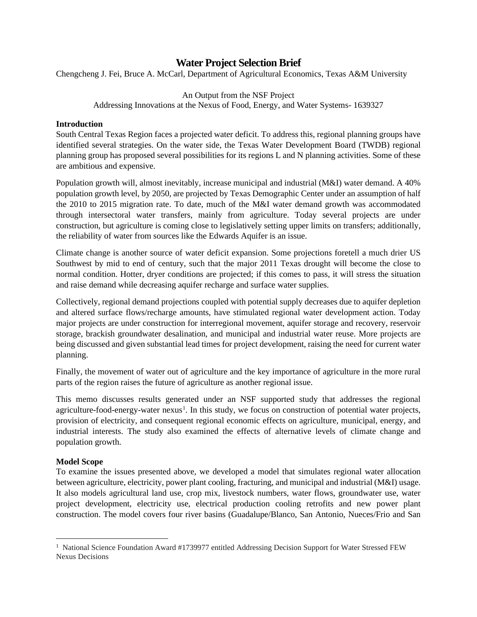## **Water Project Selection Brief**

Chengcheng J. Fei, Bruce A. McCarl, Department of Agricultural Economics, Texas A&M University

#### An Output from the NSF Project

Addressing Innovations at the Nexus of Food, Energy, and Water Systems- 1639327

#### **Introduction**

South Central Texas Region faces a projected water deficit. To address this, regional planning groups have identified several strategies. On the water side, the Texas Water Development Board (TWDB) regional planning group has proposed several possibilities for its regions L and N planning activities. Some of these are ambitious and expensive.

Population growth will, almost inevitably, increase municipal and industrial (M&I) water demand. A 40% population growth level, by 2050, are projected by Texas Demographic Center under an assumption of half the 2010 to 2015 migration rate. To date, much of the M&I water demand growth was accommodated through intersectoral water transfers, mainly from agriculture. Today several projects are under construction, but agriculture is coming close to legislatively setting upper limits on transfers; additionally, the reliability of water from sources like the Edwards Aquifer is an issue.

Climate change is another source of water deficit expansion. Some projections foretell a much drier US Southwest by mid to end of century, such that the major 2011 Texas drought will become the close to normal condition. Hotter, dryer conditions are projected; if this comes to pass, it will stress the situation and raise demand while decreasing aquifer recharge and surface water supplies.

Collectively, regional demand projections coupled with potential supply decreases due to aquifer depletion and altered surface flows/recharge amounts, have stimulated regional water development action. Today major projects are under construction for interregional movement, aquifer storage and recovery, reservoir storage, brackish groundwater desalination, and municipal and industrial water reuse. More projects are being discussed and given substantial lead times for project development, raising the need for current water planning.

Finally, the movement of water out of agriculture and the key importance of agriculture in the more rural parts of the region raises the future of agriculture as another regional issue.

This memo discusses results generated under an NSF supported study that addresses the regional agriculture-food-energy-water nexus<sup>[1](#page-0-0)</sup>. In this study, we focus on construction of potential water projects, provision of electricity, and consequent regional economic effects on agriculture, municipal, energy, and industrial interests. The study also examined the effects of alternative levels of climate change and population growth.

## **Model Scope**

To examine the issues presented above, we developed a model that simulates regional water allocation between agriculture, electricity, power plant cooling, fracturing, and municipal and industrial (M&I) usage. It also models agricultural land use, crop mix, livestock numbers, water flows, groundwater use, water project development, electricity use, electrical production cooling retrofits and new power plant construction. The model covers four river basins (Guadalupe/Blanco, San Antonio, Nueces/Frio and San

<span id="page-0-0"></span><sup>&</sup>lt;sup>1</sup> National Science Foundation Award #1739977 entitled Addressing Decision Support for Water Stressed FEW Nexus Decisions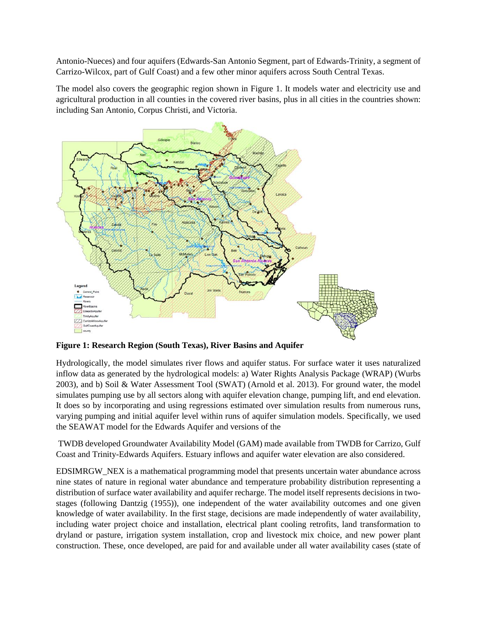Antonio-Nueces) and four aquifers (Edwards-San Antonio Segment, part of Edwards-Trinity, a segment of Carrizo-Wilcox, part of Gulf Coast) and a few other minor aquifers across South Central Texas.

The model also covers the geographic region shown in [Figure 1.](#page-1-0) It models water and electricity use and agricultural production in all counties in the covered river basins, plus in all cities in the countries shown: including San Antonio, Corpus Christi, and Victoria.



<span id="page-1-0"></span>**Figure 1: Research Region (South Texas), River Basins and Aquifer**

Hydrologically, the model simulates river flows and aquifer status. For surface water it uses naturalized inflow data as generated by the hydrological models: a) Water Rights Analysis Package (WRAP) (Wurbs 2003), and b) Soil & Water Assessment Tool (SWAT) (Arnold et al. 2013). For ground water, the model simulates pumping use by all sectors along with aquifer elevation change, pumping lift, and end elevation. It does so by incorporating and using regressions estimated over simulation results from numerous runs, varying pumping and initial aquifer level within runs of aquifer simulation models. Specifically, we used the SEAWAT model for the Edwards Aquifer and versions of the

TWDB developed Groundwater Availability Model (GAM) made available from TWDB for Carrizo, Gulf Coast and Trinity-Edwards Aquifers. Estuary inflows and aquifer water elevation are also considered.

EDSIMRGW\_NEX is a mathematical programming model that presents uncertain water abundance across nine states of nature in regional water abundance and temperature probability distribution representing a distribution of surface water availability and aquifer recharge. The model itself represents decisions in twostages (following Dantzig (1955)), one independent of the water availability outcomes and one given knowledge of water availability. In the first stage, decisions are made independently of water availability, including water project choice and installation, electrical plant cooling retrofits, land transformation to dryland or pasture, irrigation system installation, crop and livestock mix choice, and new power plant construction. These, once developed, are paid for and available under all water availability cases (state of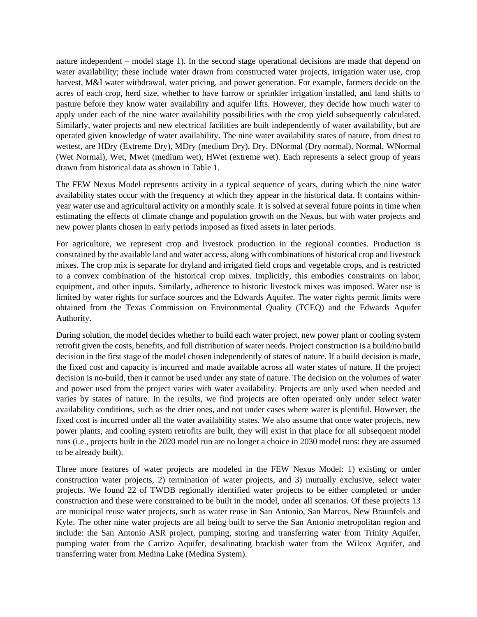nature independent – model stage 1). In the second stage operational decisions are made that depend on water availability; these include water drawn from constructed water projects, irrigation water use, crop harvest, M&I water withdrawal, water pricing, and power generation. For example, farmers decide on the acres of each crop, herd size, whether to have furrow or sprinkler irrigation installed, and land shifts to pasture before they know water availability and aquifer lifts. However, they decide how much water to apply under each of the nine water availability possibilities with the crop yield subsequently calculated. Similarly, water projects and new electrical facilities are built independently of water availability, but are operated given knowledge of water availability. The nine water availability states of nature, from driest to wettest, are HDry (Extreme Dry), MDry (medium Dry), Dry, DNormal (Dry normal), Normal, WNormal (Wet Normal), Wet, Mwet (medium wet), HWet (extreme wet). Each represents a select group of years drawn from historical data as shown in Table 1.

The FEW Nexus Model represents activity in a typical sequence of years, during which the nine water availability states occur with the frequency at which they appear in the historical data. It contains withinyear water use and agricultural activity on a monthly scale. It is solved at several future points in time when estimating the effects of climate change and population growth on the Nexus, but with water projects and new power plants chosen in early periods imposed as fixed assets in later periods.

For agriculture, we represent crop and livestock production in the regional counties. Production is constrained by the available land and water access, along with combinations of historical crop and livestock mixes. The crop mix is separate for dryland and irrigated field crops and vegetable crops, and is restricted to a convex combination of the historical crop mixes. Implicitly, this embodies constraints on labor, equipment, and other inputs. Similarly, adherence to historic livestock mixes was imposed. Water use is limited by water rights for surface sources and the Edwards Aquifer. The water rights permit limits were obtained from the Texas Commission on Environmental Quality (TCEQ) and the Edwards Aquifer Authority.

During solution, the model decides whether to build each water project, new power plant or cooling system retrofit given the costs, benefits, and full distribution of water needs. Project construction is a build/no build decision in the first stage of the model chosen independently of states of nature. If a build decision is made, the fixed cost and capacity is incurred and made available across all water states of nature. If the project decision is no-build, then it cannot be used under any state of nature. The decision on the volumes of water and power used from the project varies with water availability. Projects are only used when needed and varies by states of nature. In the results, we find projects are often operated only under select water availability conditions, such as the drier ones, and not under cases where water is plentiful. However, the fixed cost is incurred under all the water availability states. We also assume that once water projects, new power plants, and cooling system retrofits are built, they will exist in that place for all subsequent model runs (i.e., projects built in the 2020 model run are no longer a choice in 2030 model runs: they are assumed to be already built).

Three more features of water projects are modeled in the FEW Nexus Model: 1) existing or under construction water projects, 2) termination of water projects, and 3) mutually exclusive, select water projects. We found 22 of TWDB regionally identified water projects to be either completed or under construction and these were constrained to be built in the model, under all scenarios. Of these projects 13 are municipal reuse water projects, such as water reuse in San Antonio, San Marcos, New Braunfels and Kyle. The other nine water projects are all being built to serve the San Antonio metropolitan region and include: the San Antonio ASR project, pumping, storing and transferring water from Trinity Aquifer, pumping water from the Carrizo Aquifer, desalinating brackish water from the Wilcox Aquifer, and transferring water from Medina Lake (Medina System).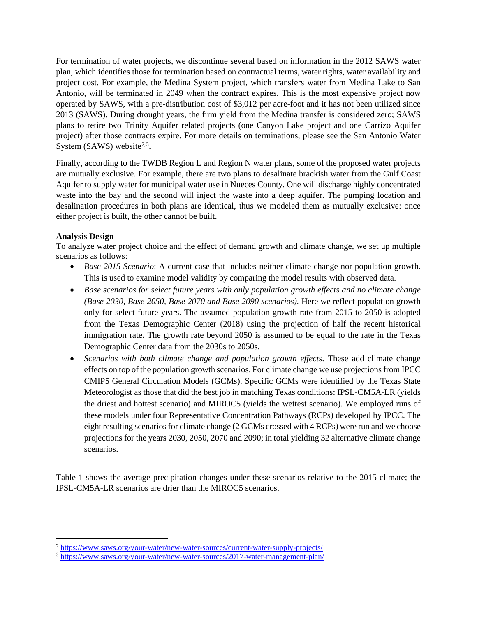For termination of water projects, we discontinue several based on information in the 2012 SAWS water plan, which identifies those for termination based on contractual terms, water rights, water availability and project cost. For example, the Medina System project, which transfers water from Medina Lake to San Antonio, will be terminated in 2049 when the contract expires. This is the most expensive project now operated by SAWS, with a pre-distribution cost of \$3,012 per acre-foot and it has not been utilized since 2013 (SAWS). During drought years, the firm yield from the Medina transfer is considered zero; SAWS plans to retire two Trinity Aquifer related projects (one Canyon Lake project and one Carrizo Aquifer project) after those contracts expire. For more details on terminations, please see the San Antonio Water System (SAWS) website $2,3$  $2,3$  $2,3$ .

Finally, according to the TWDB Region L and Region N water plans, some of the proposed water projects are mutually exclusive. For example, there are two plans to desalinate brackish water from the Gulf Coast Aquifer to supply water for municipal water use in Nueces County. One will discharge highly concentrated waste into the bay and the second will inject the waste into a deep aquifer. The pumping location and desalination procedures in both plans are identical, thus we modeled them as mutually exclusive: once either project is built, the other cannot be built.

### **Analysis Design**

To analyze water project choice and the effect of demand growth and climate change, we set up multiple scenarios as follows:

- *Base 2015 Scenario*: A current case that includes neither climate change nor population growth. This is used to examine model validity by comparing the model results with observed data.
- *Base scenarios for select future years with only population growth effects and no climate change (Base 2030, Base 2050, Base 2070 and Base 2090 scenarios).* Here we reflect population growth only for select future years. The assumed population growth rate from 2015 to 2050 is adopted from the Texas Demographic Center (2018) using the projection of half the recent historical immigration rate. The growth rate beyond 2050 is assumed to be equal to the rate in the Texas Demographic Center data from the 2030s to 2050s.
- *Scenarios with both climate change and population growth effects*. These add climate change effects on top of the population growth scenarios. For climate change we use projections from IPCC CMIP5 General Circulation Models (GCMs). Specific GCMs were identified by the Texas State Meteorologist as those that did the best job in matching Texas conditions: IPSL-CM5A-LR (yields the driest and hottest scenario) and MIROC5 (yields the wettest scenario). We employed runs of these models under four Representative Concentration Pathways (RCPs) developed by IPCC. The eight resulting scenarios for climate change (2 GCMs crossed with 4 RCPs) were run and we choose projections for the years 2030, 2050, 2070 and 2090; in total yielding 32 alternative climate change scenarios.

<span id="page-3-0"></span>[Table](#page-3-0) 1 shows the average precipitation changes under these scenarios relative to the 2015 climate; the IPSL-CM5A-LR scenarios are drier than the MIROC5 scenarios.

<span id="page-3-1"></span><sup>2</sup> [https://www.saws.org/your-water/new-water-sources/current-water-supply-projects/](about:blank)

<span id="page-3-2"></span><sup>3</sup> [https://www.saws.org/your-water/new-water-sources/2017-water-management-plan/](about:blank)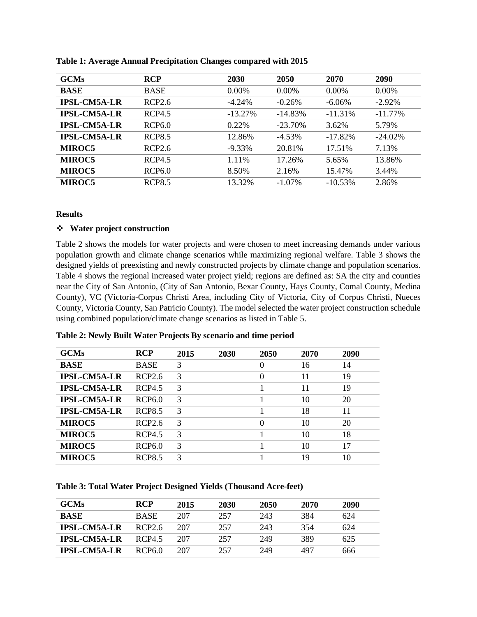| <b>GCMs</b>         | <b>RCP</b>    | 2030      | 2050      | 2070       | 2090       |
|---------------------|---------------|-----------|-----------|------------|------------|
| <b>BASE</b>         | <b>BASE</b>   | $0.00\%$  | $0.00\%$  | $0.00\%$   | $0.00\%$   |
| <b>IPSL-CM5A-LR</b> | RCP2.6        | $-4.24\%$ | $-0.26%$  | $-6.06\%$  | $-2.92\%$  |
| <b>IPSL-CM5A-LR</b> | RCP4.5        | $-13.27%$ | $-14.83%$ | $-11.31\%$ | $-11.77\%$ |
| <b>IPSL-CM5A-LR</b> | <b>RCP6.0</b> | 0.22%     | $-23.70%$ | 3.62%      | 5.79%      |
| <b>IPSL-CM5A-LR</b> | <b>RCP8.5</b> | 12.86%    | $-4.53\%$ | $-17.82%$  | $-24.02\%$ |
| <b>MIROC5</b>       | RCP2.6        | $-9.33\%$ | 20.81%    | 17.51%     | 7.13%      |
| <b>MIROC5</b>       | RCP4.5        | 1.11%     | 17.26%    | 5.65%      | 13.86%     |
| <b>MIROC5</b>       | <b>RCP6.0</b> | 8.50%     | 2.16%     | 15.47%     | 3.44%      |
| <b>MIROC5</b>       | <b>RCP8.5</b> | 13.32%    | $-1.07\%$ | $-10.53\%$ | 2.86%      |

**Table 1: Average Annual Precipitation Changes compared with 2015**

#### **Results**

#### **Water project construction**

[Table 2](#page-4-0) shows the models for water projects and were chosen to meet increasing demands under various population growth and climate change scenarios while maximizing regional welfare. [Table 3](#page-4-1) shows the designed yields of preexisting and newly constructed projects by climate change and population scenarios. [Table 4](#page-5-0) shows the regional increased water project yield; regions are defined as: SA the city and counties near the City of San Antonio, (City of San Antonio, Bexar County, Hays County, Comal County, Medina County), VC (Victoria-Corpus Christi Area, including City of Victoria, City of Corpus Christi, Nueces County, Victoria County, San Patricio County). The model selected the water project construction schedule using combined population/climate change scenarios as listed in Table 5.

| Table 2: Newly Built Water Projects by scenario and time period |               |      |      |      |      |      |  |  |  |  |  |
|-----------------------------------------------------------------|---------------|------|------|------|------|------|--|--|--|--|--|
| <b>GCMs</b>                                                     | <b>RCP</b>    | 2015 | 2030 | 2050 | 2070 | 2090 |  |  |  |  |  |
| <b>BASE</b>                                                     | <b>BASE</b>   | 3    |      |      | 16   | 14   |  |  |  |  |  |
| <b>IPSL-CM5A-LR</b>                                             | RCP2.6        |      |      |      |      | 19   |  |  |  |  |  |
| <b>IPSL-CM5A-LR</b>                                             | RCP4.5        |      |      |      | 11   | 19   |  |  |  |  |  |
| <b>IPSL-CM5A-LR</b>                                             | RCP6.0        | 3    |      |      | 10   | 20   |  |  |  |  |  |
| <b>IPSL-CM5A-LR</b>                                             | <b>RCP8.5</b> |      |      |      | 18   |      |  |  |  |  |  |

**MIROC5** RCP2.6 3 0 10 20 **MIROC5** RCP4.5 3 1 10 18 **MIROC5** RCP6.0 3 1 10 17 **MIROC5** RCP8.5 3 1 19 10

<span id="page-4-0"></span>**Table 2: Newly Built Water Projects By scenario and time period**

<span id="page-4-1"></span>**Table 3: Total Water Project Designed Yields (Thousand Acre-feet)**

| <b>GCMs</b>         | <b>RCP</b>         | 2015 | 2030 | 2050 | 2070 | 2090 |
|---------------------|--------------------|------|------|------|------|------|
| <b>BASE</b>         | <b>BASE</b>        | 207  | 257  | 243  | 384  | 624  |
| <b>IPSL-CM5A-LR</b> | RCP2.6             | 207  | 257  | 243  | 354  | 624  |
| <b>IPSL-CM5A-LR</b> | RCP4.5             | 207  | 257  | 249  | 389  | 625  |
| <b>IPSL-CM5A-LR</b> | RCP <sub>6.0</sub> | 207  | 257  | 249  | 497  | 666  |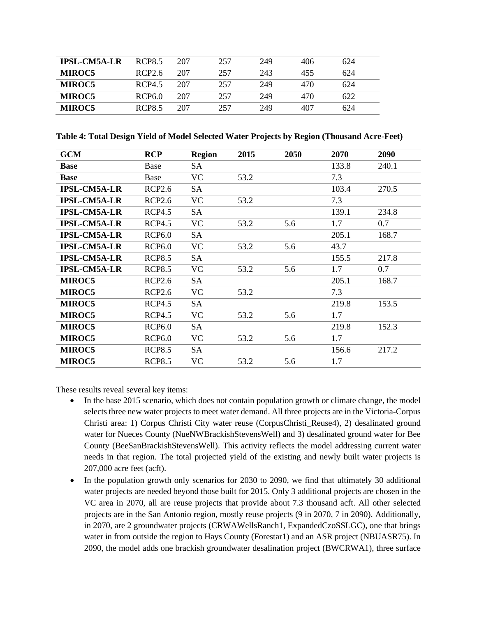| <b>IPSL-CM5A-LR</b> | <b>RCP8.5</b> | 207 | 257 | 249 | 406 | 624 |  |
|---------------------|---------------|-----|-----|-----|-----|-----|--|
| <b>MIROC5</b>       | RCP2.6        | 207 | 257 | 243 | 455 | 624 |  |
| <b>MIROC5</b>       | RCP4.5        | 207 | 257 | 249 | 470 | 624 |  |
| <b>MIROC5</b>       | RCP6.0        | 207 | 257 | 249 | 470 | 622 |  |
| <b>MIROC5</b>       | RCP8.5        | 207 | 257 | 249 | 407 | 624 |  |

<span id="page-5-0"></span>**Table 4: Total Design Yield of Model Selected Water Projects by Region (Thousand Acre-Feet)**

| <b>GCM</b>          | <b>RCP</b>    | <b>Region</b> | 2015 | 2050 | 2070  | 2090  |
|---------------------|---------------|---------------|------|------|-------|-------|
| <b>Base</b>         | Base          | SA            |      |      | 133.8 | 240.1 |
| <b>Base</b>         | Base          | <b>VC</b>     | 53.2 |      | 7.3   |       |
| <b>IPSL-CM5A-LR</b> | <b>RCP2.6</b> | SA            |      |      | 103.4 | 270.5 |
| <b>IPSL-CM5A-LR</b> | <b>RCP2.6</b> | <b>VC</b>     | 53.2 |      | 7.3   |       |
| <b>IPSL-CM5A-LR</b> | <b>RCP4.5</b> | SA            |      |      | 139.1 | 234.8 |
| <b>IPSL-CM5A-LR</b> | <b>RCP4.5</b> | <b>VC</b>     | 53.2 | 5.6  | 1.7   | 0.7   |
| <b>IPSL-CM5A-LR</b> | <b>RCP6.0</b> | SA            |      |      | 205.1 | 168.7 |
| <b>IPSL-CM5A-LR</b> | <b>RCP6.0</b> | <b>VC</b>     | 53.2 | 5.6  | 43.7  |       |
| <b>IPSL-CM5A-LR</b> | <b>RCP8.5</b> | SA            |      |      | 155.5 | 217.8 |
| <b>IPSL-CM5A-LR</b> | <b>RCP8.5</b> | <b>VC</b>     | 53.2 | 5.6  | 1.7   | 0.7   |
| <b>MIROC5</b>       | <b>RCP2.6</b> | SA            |      |      | 205.1 | 168.7 |
| <b>MIROC5</b>       | <b>RCP2.6</b> | <b>VC</b>     | 53.2 |      | 7.3   |       |
| <b>MIROC5</b>       | <b>RCP4.5</b> | SA            |      |      | 219.8 | 153.5 |
| <b>MIROC5</b>       | <b>RCP4.5</b> | VC            | 53.2 | 5.6  | 1.7   |       |
| <b>MIROC5</b>       | <b>RCP6.0</b> | SA            |      |      | 219.8 | 152.3 |
| <b>MIROC5</b>       | <b>RCP6.0</b> | <b>VC</b>     | 53.2 | 5.6  | 1.7   |       |
| <b>MIROC5</b>       | <b>RCP8.5</b> | SA            |      |      | 156.6 | 217.2 |
| <b>MIROC5</b>       | <b>RCP8.5</b> | <b>VC</b>     | 53.2 | 5.6  | 1.7   |       |

These results reveal several key items:

- In the base 2015 scenario, which does not contain population growth or climate change, the model selects three new water projects to meet water demand. All three projects are in the Victoria-Corpus Christi area: 1) Corpus Christi City water reuse (CorpusChristi\_Reuse4), 2) desalinated ground water for Nueces County (NueNWBrackishStevensWell) and 3) desalinated ground water for Bee County (BeeSanBrackishStevensWell). This activity reflects the model addressing current water needs in that region. The total projected yield of the existing and newly built water projects is 207,000 acre feet (acft).
- In the population growth only scenarios for 2030 to 2090, we find that ultimately 30 additional water projects are needed beyond those built for 2015. Only 3 additional projects are chosen in the VC area in 2070, all are reuse projects that provide about 7.3 thousand acft. All other selected projects are in the San Antonio region, mostly reuse projects (9 in 2070, 7 in 2090). Additionally, in 2070, are 2 groundwater projects (CRWAWellsRanch1, ExpandedCzoSSLGC), one that brings water in from outside the region to Hays County (Forestar1) and an ASR project (NBUASR75). In 2090, the model adds one brackish groundwater desalination project (BWCRWA1), three surface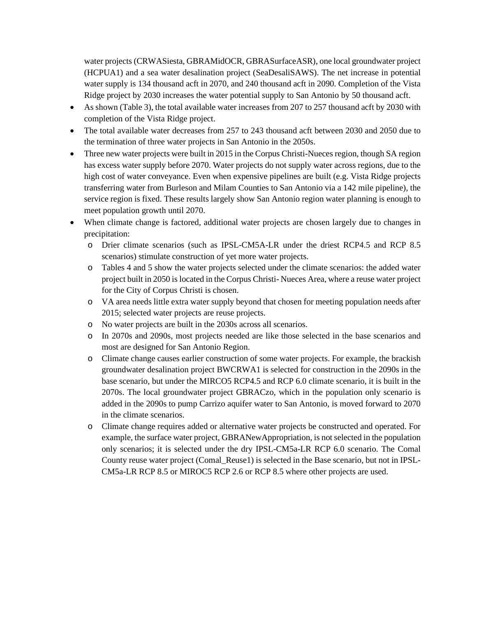water projects (CRWASiesta, GBRAMidOCR, GBRASurfaceASR), one local groundwater project (HCPUA1) and a sea water desalination project (SeaDesaliSAWS). The net increase in potential water supply is 134 thousand acft in 2070, and 240 thousand acft in 2090. Completion of the Vista Ridge project by 2030 increases the water potential supply to San Antonio by 50 thousand acft.

- As shown [\(Table 3\)](#page-4-1), the total available water increases from 207 to 257 thousand acft by 2030 with completion of the Vista Ridge project.
- The total available water decreases from 257 to 243 thousand acft between 2030 and 2050 due to the termination of three water projects in San Antonio in the 2050s.
- Three new water projects were built in 2015 in the Corpus Christi-Nueces region, though SA region has excess water supply before 2070. Water projects do not supply water across regions, due to the high cost of water conveyance. Even when expensive pipelines are built (e.g. Vista Ridge projects transferring water from Burleson and Milam Counties to San Antonio via a 142 mile pipeline), the service region is fixed. These results largely show San Antonio region water planning is enough to meet population growth until 2070.
- When climate change is factored, additional water projects are chosen largely due to changes in precipitation:
	- o Drier climate scenarios (such as IPSL-CM5A-LR under the driest RCP4.5 and RCP 8.5 scenarios) stimulate construction of yet more water projects.
	- o [Tables](#page-5-0) 4 and 5 show the water projects selected under the climate scenarios: the added water project built in 2050 is located in the Corpus Christi- Nueces Area, where a reuse water project for the City of Corpus Christi is chosen.
	- o VA area needs little extra water supply beyond that chosen for meeting population needs after 2015; selected water projects are reuse projects.
	- o No water projects are built in the 2030s across all scenarios.
	- o In 2070s and 2090s, most projects needed are like those selected in the base scenarios and most are designed for San Antonio Region.
	- o Climate change causes earlier construction of some water projects. For example, the brackish groundwater desalination project BWCRWA1 is selected for construction in the 2090s in the base scenario, but under the MIRCO5 RCP4.5 and RCP 6.0 climate scenario, it is built in the 2070s. The local groundwater project GBRACzo, which in the population only scenario is added in the 2090s to pump Carrizo aquifer water to San Antonio, is moved forward to 2070 in the climate scenarios.
	- o Climate change requires added or alternative water projects be constructed and operated. For example, the surface water project, GBRANewAppropriation, is not selected in the population only scenarios; it is selected under the dry IPSL-CM5a-LR RCP 6.0 scenario. The Comal County reuse water project (Comal\_Reuse1) is selected in the Base scenario, but not in IPSL-CM5a-LR RCP 8.5 or MIROC5 RCP 2.6 or RCP 8.5 where other projects are used.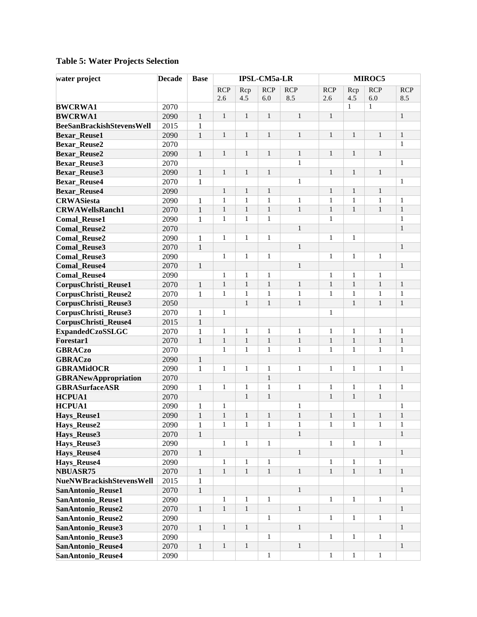| water project                    | <b>Decade</b> | <b>Base</b>  |              |              | <b>IPSL-CM5a-LR</b> |              |              |              | MIROC5       |              |
|----------------------------------|---------------|--------------|--------------|--------------|---------------------|--------------|--------------|--------------|--------------|--------------|
|                                  |               |              | <b>RCP</b>   | Rcp          | <b>RCP</b>          | <b>RCP</b>   | <b>RCP</b>   | Rcp          | <b>RCP</b>   | <b>RCP</b>   |
|                                  |               |              | 2.6          | 4.5          | 6.0                 | 8.5          | 2.6          | 4.5          | 6.0          | 8.5          |
| <b>BWCRWA1</b>                   | 2070          |              |              |              |                     |              |              | $\mathbf{1}$ | $\mathbf{1}$ |              |
| <b>BWCRWA1</b>                   | 2090          | $\mathbf{1}$ | $\mathbf{1}$ | $\mathbf{1}$ | $\mathbf{1}$        | $\mathbf{1}$ | $\mathbf{1}$ |              |              | $\mathbf{1}$ |
| <b>BeeSanBrackishStevensWell</b> | 2015          | $\mathbf{1}$ |              |              |                     |              |              |              |              |              |
| <b>Bexar Reuse1</b>              | 2090          | $\mathbf{1}$ | $\mathbf{1}$ | $\mathbf{1}$ | $\mathbf{1}$        | $\mathbf{1}$ | $\mathbf{1}$ | $\mathbf{1}$ | $\mathbf{1}$ | $\mathbf{1}$ |
| <b>Bexar_Reuse2</b>              | 2070          |              |              |              |                     |              |              |              |              | $\mathbf{1}$ |
| <b>Bexar_Reuse2</b>              | 2090          | $\mathbf{1}$ | $\mathbf{1}$ | $\mathbf{1}$ | $\mathbf{1}$        | $\mathbf{1}$ | $\mathbf{1}$ | $\mathbf{1}$ | $\mathbf{1}$ |              |
| <b>Bexar_Reuse3</b>              | 2070          |              |              |              |                     | $\mathbf{1}$ |              |              |              | $\mathbf{1}$ |
| <b>Bexar_Reuse3</b>              | 2090          | $\mathbf{1}$ | $\mathbf{1}$ | $\mathbf{1}$ | $\mathbf{1}$        |              | $\mathbf{1}$ | $\mathbf{1}$ | $\mathbf{1}$ |              |
| <b>Bexar_Reuse4</b>              | 2070          | $\mathbf{1}$ |              |              |                     | $\mathbf{1}$ |              |              |              | $\mathbf{1}$ |
| <b>Bexar_Reuse4</b>              | 2090          |              | $\mathbf{1}$ | $\mathbf{1}$ | $\mathbf{1}$        |              | $\mathbf{1}$ | $\mathbf{1}$ | $\mathbf{1}$ |              |
| <b>CRWASiesta</b>                | 2090          | $\mathbf{1}$ | $\mathbf{1}$ | $\mathbf{1}$ | $\mathbf{1}$        | $\mathbf{1}$ | $\mathbf{1}$ | $\mathbf{1}$ | $\mathbf{1}$ | $\mathbf{1}$ |
| <b>CRWAWellsRanch1</b>           | 2070          | $\mathbf{1}$ | $\mathbf{1}$ | $\mathbf{1}$ | $\mathbf{1}$        | $\mathbf{1}$ | $\mathbf{1}$ | $\mathbf{1}$ | $\mathbf{1}$ | $\mathbf{1}$ |
| <b>Comal_Reuse1</b>              | 2090          | $\mathbf{1}$ | $\mathbf{1}$ | $\mathbf{1}$ | $\mathbf{1}$        |              | $\mathbf{1}$ |              |              | $\mathbf{1}$ |
| <b>Comal_Reuse2</b>              | 2070          |              |              |              |                     | $\mathbf{1}$ |              |              |              | $\mathbf{1}$ |
| <b>Comal_Reuse2</b>              | 2090          | $\mathbf{1}$ | $\mathbf{1}$ | $\mathbf{1}$ | $\mathbf{1}$        |              | $\mathbf{1}$ | $\mathbf{1}$ |              |              |
| <b>Comal_Reuse3</b>              | 2070          | $\mathbf{1}$ |              |              |                     | $\mathbf{1}$ |              |              |              | $\mathbf{1}$ |
| <b>Comal_Reuse3</b>              | 2090          |              | $\mathbf{1}$ | $\mathbf{1}$ | $\mathbf{1}$        |              | $\mathbf{1}$ | $\mathbf{1}$ | $\mathbf{1}$ |              |
| <b>Comal_Reuse4</b>              | 2070          | $\,1\,$      |              |              |                     | $\mathbf{1}$ |              |              |              | $\mathbf{1}$ |
| <b>Comal_Reuse4</b>              | 2090          |              | $\mathbf{1}$ | $\mathbf{1}$ | $\mathbf{1}$        |              | $\mathbf{1}$ | $\mathbf{1}$ | $\mathbf{1}$ |              |
| CorpusChristi_Reuse1             | 2070          | $\,1\,$      | $\mathbf{1}$ | $\mathbf{1}$ | $\,1$               | $\mathbf{1}$ | $\mathbf{1}$ | $\mathbf{1}$ | $\mathbf{1}$ | $\mathbf{1}$ |
| CorpusChristi_Reuse2             | 2070          | $\mathbf{1}$ | $\mathbf{1}$ | $\mathbf{1}$ | $\mathbf{1}$        | $\mathbf{1}$ | $\mathbf{1}$ | $\mathbf{1}$ | 1            | $\mathbf{1}$ |
| CorpusChristi_Reuse3             | 2050          |              |              | $\mathbf{1}$ | $\mathbf{1}$        | $\,1\,$      |              | $\mathbf{1}$ | $\mathbf{1}$ | $\mathbf{1}$ |
| CorpusChristi_Reuse3             | 2070          | $\mathbf{1}$ | $\mathbf{1}$ |              |                     |              | $\mathbf{1}$ |              |              |              |
| CorpusChristi_Reuse4             | 2015          | $\,1\,$      |              |              |                     |              |              |              |              |              |
| <b>ExpandedCzoSSLGC</b>          | 2070          | $\mathbf{1}$ | $\mathbf{1}$ | $\mathbf{1}$ | $\mathbf{1}$        | $\mathbf{1}$ | $\mathbf{1}$ | $\mathbf{1}$ | 1            | $\mathbf{1}$ |
| <b>Forestar1</b>                 | 2070          | $\mathbf{1}$ | $\mathbf{1}$ | $\mathbf{1}$ | $\mathbf{1}$        | $\mathbf{1}$ | $\mathbf{1}$ | $\mathbf{1}$ | $\mathbf{1}$ | $\mathbf{1}$ |
| <b>GBRACzo</b>                   | 2070          |              | $\mathbf{1}$ | $\mathbf{1}$ | $\mathbf{1}$        | $\mathbf{1}$ | $\mathbf{1}$ | $\mathbf{1}$ | $\mathbf{1}$ | $\mathbf{1}$ |
| <b>GBRACzo</b>                   | 2090          | $1\,$        |              |              |                     |              |              |              |              |              |
| <b>GBRAMidOCR</b>                | 2090          | $\mathbf{1}$ | $\mathbf{1}$ | $\mathbf{1}$ | $\mathbf{1}$        | $\mathbf{1}$ | $\mathbf{1}$ | $\mathbf{1}$ | $\mathbf{1}$ | $\mathbf{1}$ |
| <b>GBRANewAppropriation</b>      | 2070          |              |              |              | $\mathbf{1}$        |              |              |              |              |              |
| <b>GBRASurfaceASR</b>            | 2090          | $\mathbf{1}$ | $\mathbf{1}$ | $\mathbf{1}$ | $\mathbf{1}$        | $\mathbf{1}$ | $\mathbf{1}$ | $\mathbf{1}$ | $\mathbf{1}$ | $\mathbf{1}$ |
| <b>HCPUA1</b>                    | 2070          |              |              | $\mathbf{1}$ | $\mathbf{1}$        |              | $\mathbf{1}$ | $\mathbf{1}$ | $\mathbf{1}$ |              |
| <b>HCPUA1</b>                    | 2090          | $\mathbf{1}$ | $\mathbf{1}$ |              |                     | $\mathbf{1}$ |              |              |              | $\mathbf{1}$ |
| <b>Hays_Reuse1</b>               | 2090          | $\mathbf{1}$ | $\mathbf{1}$ | $\mathbf{1}$ | $\mathbf{1}$        | $\,1\,$      | $\mathbf{1}$ | $\mathbf{1}$ | $\mathbf{1}$ | $\mathbf{1}$ |
| Hays_Reuse2                      | 2090          | 1            | 1            | 1            | 1                   | 1            | 1            | 1            | 1            | 1            |
| Hays_Reuse3                      | 2070          | $\mathbf{1}$ |              |              |                     | $\mathbf{1}$ |              |              |              | $\mathbf{1}$ |
| Hays_Reuse3                      | 2090          |              | $\mathbf{1}$ | $\mathbf{1}$ | $\mathbf{1}$        |              | $\mathbf{1}$ | $\mathbf{1}$ | 1            |              |
| Hays_Reuse4                      | 2070          | $\mathbf{1}$ |              |              |                     | $1\,$        |              |              |              | $\mathbf{1}$ |
| Hays_Reuse4                      | 2090          |              | $\mathbf{1}$ | $\mathbf{1}$ | $\mathbf{1}$        |              | $\mathbf{1}$ | $\mathbf{1}$ | 1            |              |
| <b>NBUASR75</b>                  | 2070          | $\mathbf{1}$ | $\mathbf{1}$ | $\mathbf{1}$ | $\,1$               | $\mathbf{1}$ | $\mathbf{1}$ | $\mathbf{1}$ | $\mathbf{1}$ | $\mathbf{1}$ |
| NueNWBrackishStevensWell         | 2015          | 1            |              |              |                     |              |              |              |              |              |
| SanAntonio_Reuse1                | 2070          | $\,1$        |              |              |                     | $\mathbf{1}$ |              |              |              | $\mathbf{1}$ |
| SanAntonio_Reuse1                | 2090          |              | $\mathbf{1}$ | $\mathbf{1}$ | $\mathbf{1}$        |              | $\mathbf{1}$ | $\mathbf{1}$ | 1            |              |
| SanAntonio_Reuse2                | 2070          | $\mathbf{1}$ | $\mathbf{1}$ | $\mathbf{1}$ |                     | $\mathbf{1}$ |              |              |              | $\mathbf{1}$ |
| SanAntonio_Reuse2                | 2090          |              |              |              | $\mathbf{1}$        |              | $\mathbf{1}$ | $\mathbf{1}$ | 1            |              |
| SanAntonio_Reuse3                | 2070          | $\mathbf{1}$ | $\mathbf{1}$ | $\mathbf{1}$ |                     | $\mathbf{1}$ |              |              |              | $\mathbf{1}$ |
| SanAntonio_Reuse3                | 2090          |              |              |              | $\mathbf{1}$        |              | $\mathbf{1}$ | $\mathbf{1}$ | 1            |              |
| <b>SanAntonio_Reuse4</b>         | 2070          | $\mathbf{1}$ | $\mathbf{1}$ | $\mathbf{1}$ |                     | $\mathbf{1}$ |              |              |              | $\mathbf{1}$ |
| SanAntonio_Reuse4                | 2090          |              |              |              | $\mathbf{1}$        |              | $\mathbf{1}$ | $\mathbf{1}$ | $\mathbf{1}$ |              |
|                                  |               |              |              |              |                     |              |              |              |              |              |

# **Table 5: Water Projects Selection**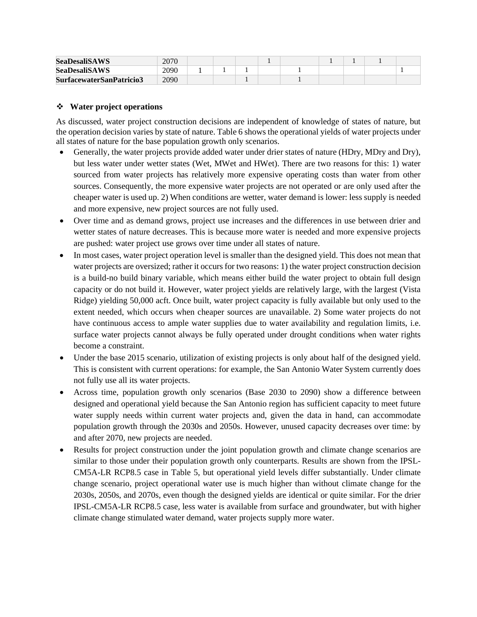| <b>SeaDesaliSAWS</b>     | 2070 |  |  |  |  |  |
|--------------------------|------|--|--|--|--|--|
| <b>SeaDesaliSAWS</b>     | 2090 |  |  |  |  |  |
| SurfacewaterSanPatricio3 | 2090 |  |  |  |  |  |

#### **Water project operations**

As discussed, water project construction decisions are independent of knowledge of states of nature, but the operation decision varies by state of nature[. Table 6](#page-9-0) shows the operational yields of water projects under all states of nature for the base population growth only scenarios.

- Generally, the water projects provide added water under drier states of nature (HDry, MDry and Dry), but less water under wetter states (Wet, MWet and HWet). There are two reasons for this: 1) water sourced from water projects has relatively more expensive operating costs than water from other sources. Consequently, the more expensive water projects are not operated or are only used after the cheaper water is used up. 2) When conditions are wetter, water demand is lower: less supply is needed and more expensive, new project sources are not fully used.
- Over time and as demand grows, project use increases and the differences in use between drier and wetter states of nature decreases. This is because more water is needed and more expensive projects are pushed: water project use grows over time under all states of nature.
- In most cases, water project operation level is smaller than the designed yield. This does not mean that water projects are oversized; rather it occurs for two reasons: 1) the water project construction decision is a build-no build binary variable, which means either build the water project to obtain full design capacity or do not build it. However, water project yields are relatively large, with the largest (Vista Ridge) yielding 50,000 acft. Once built, water project capacity is fully available but only used to the extent needed, which occurs when cheaper sources are unavailable. 2) Some water projects do not have continuous access to ample water supplies due to water availability and regulation limits, i.e. surface water projects cannot always be fully operated under drought conditions when water rights become a constraint.
- Under the base 2015 scenario, utilization of existing projects is only about half of the designed yield. This is consistent with current operations: for example, the San Antonio Water System currently does not fully use all its water projects.
- Across time, population growth only scenarios (Base 2030 to 2090) show a difference between designed and operational yield because the San Antonio region has sufficient capacity to meet future water supply needs within current water projects and, given the data in hand, can accommodate population growth through the 2030s and 2050s. However, unused capacity decreases over time: by and after 2070, new projects are needed.
- Results for project construction under the joint population growth and climate change scenarios are similar to those under their population growth only counterparts. Results are shown from the IPSL-CM5A-LR RCP8.5 case in Table 5, but operational yield levels differ substantially. Under climate change scenario, project operational water use is much higher than without climate change for the 2030s, 2050s, and 2070s, even though the designed yields are identical or quite similar. For the drier IPSL-CM5A-LR RCP8.5 case, less water is available from surface and groundwater, but with higher climate change stimulated water demand, water projects supply more water.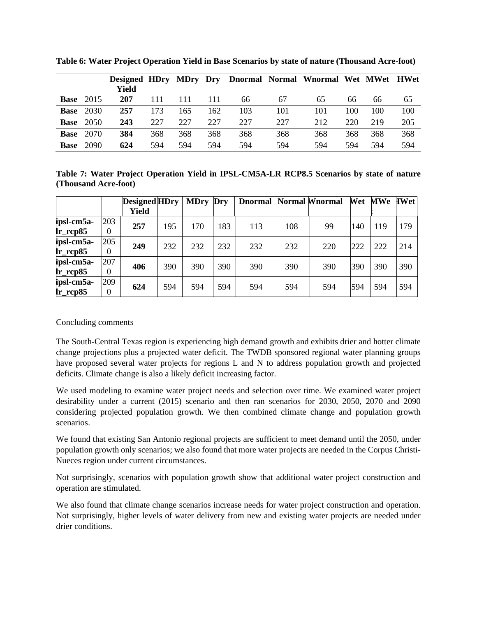|             |      | Designed HDry MDry Dry |     |     |     |     |     | Dnormal Normal Wnormal Wet MWet HWet |     |     |     |
|-------------|------|------------------------|-----|-----|-----|-----|-----|--------------------------------------|-----|-----|-----|
|             |      | Yield                  |     |     |     |     |     |                                      |     |     |     |
| <b>Base</b> | 2015 | 207                    | 111 |     |     | 66  | 67  | 65                                   | 66  | 66  | 65  |
| <b>Base</b> | 2030 | 257                    | 173 | 165 | 162 | 103 | 101 | 101                                  | 100 | 100 | 100 |
| <b>Base</b> | 2050 | 243                    | 227 | 227 | 227 | 227 | 227 | 212                                  | 220 | 219 | 205 |
| <b>Base</b> | 2070 | 384                    | 368 | 368 | 368 | 368 | 368 | 368                                  | 368 | 368 | 368 |
| <b>Base</b> | 2090 | 624                    | 594 | 594 | 594 | 594 | 594 | 594                                  | 594 | 594 | 594 |

<span id="page-9-0"></span>**Table 6: Water Project Operation Yield in Base Scenarios by state of nature (Thousand Acre-foot)**

**Table 7: Water Project Operation Yield in IPSL-CM5A-LR RCP8.5 Scenarios by state of nature (Thousand Acre-foot)**

|                                         |                 | <b>Designed HDry</b><br>Yield |     | <b>MDry</b> | Dry | <b>Dnormal Normal Wnormal</b> |     |     | Wet | <b>MWe</b> | <b>IWet</b> |
|-----------------------------------------|-----------------|-------------------------------|-----|-------------|-----|-------------------------------|-----|-----|-----|------------|-------------|
| ipsl-cm5a-<br>$\rm{lr\_rcp85}$          | 203<br>$\Omega$ | 257                           | 195 | 170         | 183 | 113                           | 108 | 99  | 140 | 119        | 179         |
| ipsl-cm5a-<br>$lr$ <sub>_rcp</sub> $85$ | 205<br>$\theta$ | 249                           | 232 | 232         | 232 | 232                           | 232 | 220 | 222 | 222        | 214         |
| ipsl-cm5a-<br>$\rm{lr\_rcp85}$          | 207<br>$\theta$ | 406                           | 390 | 390         | 390 | 390                           | 390 | 390 | 390 | 390        | 390         |
| ipsl-cm5a-<br>$\rm{lr\_rcp85}$          | 209<br>0        | 624                           | 594 | 594         | 594 | 594                           | 594 | 594 | 594 | 594        | 594         |

#### Concluding comments

The South-Central Texas region is experiencing high demand growth and exhibits drier and hotter climate change projections plus a projected water deficit. The TWDB sponsored regional water planning groups have proposed several water projects for regions L and N to address population growth and projected deficits. Climate change is also a likely deficit increasing factor.

We used modeling to examine water project needs and selection over time. We examined water project desirability under a current (2015) scenario and then ran scenarios for 2030, 2050, 2070 and 2090 considering projected population growth. We then combined climate change and population growth scenarios.

We found that existing San Antonio regional projects are sufficient to meet demand until the 2050, under population growth only scenarios; we also found that more water projects are needed in the Corpus Christi-Nueces region under current circumstances.

Not surprisingly, scenarios with population growth show that additional water project construction and operation are stimulated.

We also found that climate change scenarios increase needs for water project construction and operation. Not surprisingly, higher levels of water delivery from new and existing water projects are needed under drier conditions.